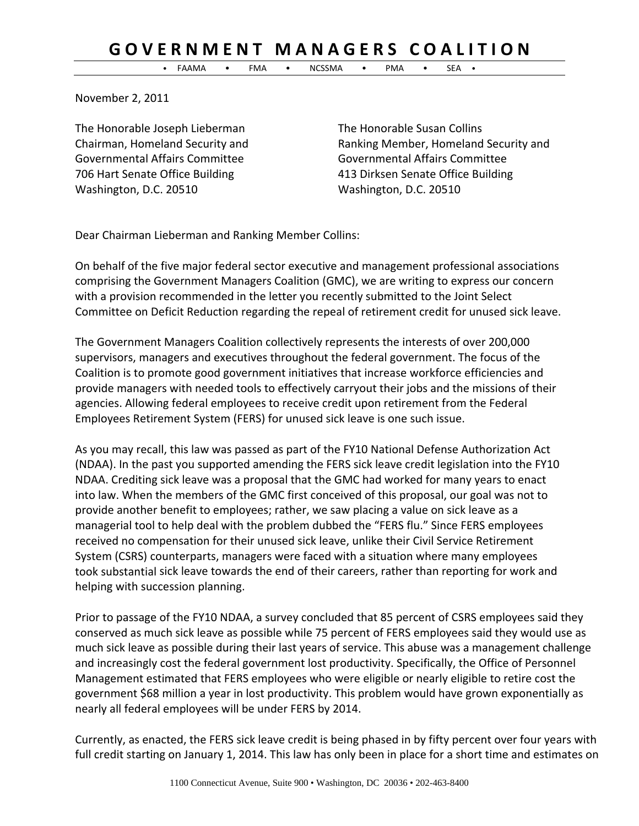## GOVERNMENT MANAGERS COALITION

• FAAMA • FMA • NCSSMA • PMA • SEA •

November 2, 2011

The Honorable Joseph Lieberman The Honorable Susan Collins Governmental Affairs Committee Governmental Affairs Committee Washington, D.C. 20510 Washington, D.C. 20510

Chairman, Homeland Security and Ranking Member, Homeland Security and 706 Hart Senate Office Building 413 Dirksen Senate Office Building

Dear Chairman Lieberman and Ranking Member Collins:

On behalf of the five major federal sector executive and management professional associations comprising the Government Managers Coalition (GMC), we are writing to express our concern with a provision recommended in the letter you recently submitted to the Joint Select Committee on Deficit Reduction regarding the repeal of retirement credit for unused sick leave.

The Government Managers Coalition collectively represents the interests of over 200,000 supervisors, managers and executives throughout the federal government. The focus of the Coalition is to promote good government initiatives that increase workforce efficiencies and provide managers with needed tools to effectively carryout their jobs and the missions of their agencies. Allowing federal employees to receive credit upon retirement from the Federal Employees Retirement System (FERS) for unused sick leave is one such issue.

As you may recall, this law was passed as part of the FY10 National Defense Authorization Act (NDAA). In the past you supported amending the FERS sick leave credit legislation into the FY10 NDAA. Crediting sick leave was a proposal that the GMC had worked for many years to enact into law. When the members of the GMC first conceived of this proposal, our goal was not to provide another benefit to employees; rather, we saw placing a value on sick leave as a managerial tool to help deal with the problem dubbed the "FERS flu." Since FERS employees received no compensation for their unused sick leave, unlike their Civil Service Retirement System (CSRS) counterparts, managers were faced with a situation where many employees took substantial sick leave towards the end of their careers, rather than reporting for work and helping with succession planning.

Prior to passage of the FY10 NDAA, a survey concluded that 85 percent of CSRS employees said they conserved as much sick leave as possible while 75 percent of FERS employees said they would use as much sick leave as possible during their last years of service. This abuse was a management challenge and increasingly cost the federal government lost productivity. Specifically, the Office of Personnel Management estimated that FERS employees who were eligible or nearly eligible to retire cost the government \$68 million a year in lost productivity. This problem would have grown exponentially as nearly all federal employees will be under FERS by 2014.

Currently, as enacted, the FERS sick leave credit is being phased in by fifty percent over four years with full credit starting on January 1, 2014. This law has only been in place for a short time and estimates on